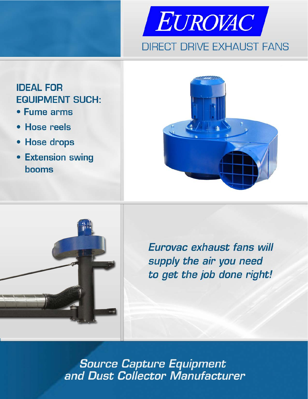

# **IDEAL FOR EQUIPMENT SUCH:**

- Fume arms
- **Hose reels**
- Hose drops
- **Extension swing booms**





Eurovac exhaust fans will supply the air you need to get the job done right!

**Source Capture Equipment<br>and Dust Collector Manufacturer**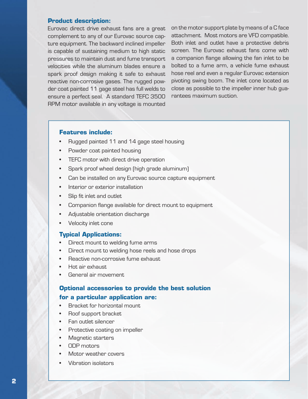### **Product description:**

Eurovac direct drive exhaust fans are a great complement to any of our Eurovac source capture equipment. The backward inclined impeller is capable of sustaining medium to high static pressures to maintain dust and fume transport velocities while the aluminum blades ensure a spark proof design making it safe to exhaust reactive non-corrosive gases. The rugged powder coat painted 11 gage steel has full welds to ensure a perfect seal. A standard TEFC 3500 RPM motor available in any voltage is mounted

on the motor support plate by means of a C face attachment. Most motors are VFD compatible. Both inlet and outlet have a protective debris screen. The Eurovac exhaust fans come with a companion flange allowing the fan inlet to be bolted to a fume arm, a vehicle fume exhaust hose reel and even a regular Eurovac extension pivoting swing boom. The inlet cone located as close as possible to the impeller inner hub guarantees maximum suction.

## **Features include:**

- • Rugged painted 11 and 14 gage steel housing
- Powder coat painted housing
- • TEFC motor with direct drive operation
- • Spark proof wheel design (high grade aluminum)
- Can be installed on any Eurovac source capture equipment
- Interior or exterior installation
- • Slip fit inlet and outlet
- Companion flange available for direct mount to equipment
- Adjustable orientation discharge
- Velocity inlet cone

#### **Typical Applications:**

- • Direct mount to welding fume arms
- Direct mount to welding hose reels and hose drops
- • Reactive non-corrosive fume exhaust
- Hot air exhaust.
- General air movement

## **Optional accessories to provide the best solution**

#### **for a particular application are:**

- • Bracket for horizontal mount
- Roof support bracket
- Fan outlet silencer
- Protective coating on impeller
- • Magnetic starters
- • ODP motors
- Motor weather covers
- Vibration isolators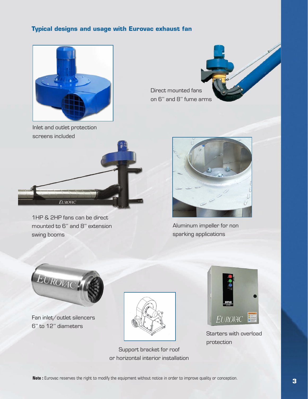## **Typical designs and usage with Eurovac exhaust fan**



Direct mounted fans on 6'' and 8'' fume arms

Inlet and outlet protection screens included



1HP & 2HP fans can be direct mounted to 6'' and 8'' extension swing booms



Aluminum impeller for non sparking applications



Fan inlet/outlet silencers 6'' to 12'' diameters



Support bracket for roof or horizontal interior installation



Starters with overload protection